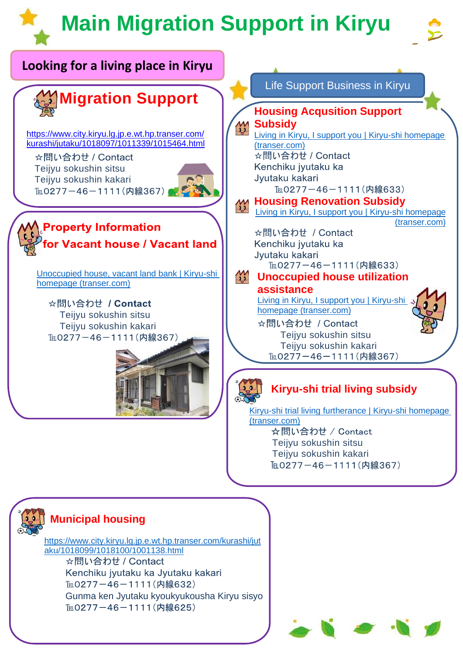## **Main Migration Support in Kiryu**



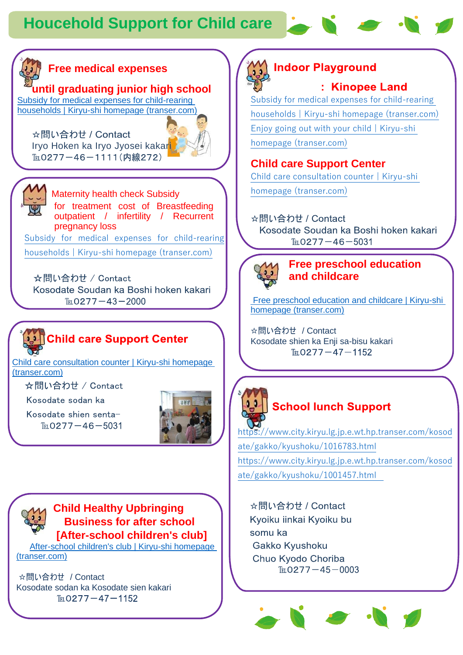

#### **Free medical expenses**

**until graduating junior high school**

[Subsidy for medical expenses for child-rearing](https://www.city.kiryu.lg.jp.e.wt.hp.transer.com/kosodate/1009667/1018395/index.html)  [households | Kiryu-shi homepage \(transer.com\)](https://www.city.kiryu.lg.jp.e.wt.hp.transer.com/kosodate/1009667/1018395/index.html)

☆問い合わせ / Contact Iryo Hoken ka Iryo Jyosei kakari TELO277-46-1111(内線272)





Maternity health check Subsidy for treatment cost of Breastfeeding outpatient / infertility / Recurrent pregnancy loss [Subsidy for medical expenses for child-rearing](https://www.city.kiryu.lg.jp.e.wt.hp.transer.com/kosodate/1009667/1018395/index.html) 

[households | Kiryu-shi homepage \(transer.com\)](https://www.city.kiryu.lg.jp.e.wt.hp.transer.com/kosodate/1009667/1018395/index.html)

☆問い合わせ / Contact Kosodate Soudan ka Boshi hoken kakari  $T_{EL}$ 0277 - 43 - 2000

### **Online care Support Center**

[Child care consultation counter | Kiryu-shi homepage](https://www.city.kiryu.lg.jp.e.wt.hp.transer.com/kosodate/1018221/index.html)  [\(transer.com\)](https://www.city.kiryu.lg.jp.e.wt.hp.transer.com/kosodate/1018221/index.html)

☆問い合わせ / Contact

Kosodate sodan ka

Kosodate shien senta- $T_{EL}$ 0277 - 46 - 5031



**Child Healthy Upbringing Business for after school [After-school children's club]**

After-school children's club | Kiryu-shi homepage [\(transer.com\)](https://www.city.kiryu.lg.jp.e.wt.hp.transer.com/kosodate/gakko/1018265/index.html)

☆問い合わせ / Contact Kosodate sodan ka Kosodate sien kakari  $T_{EL}$ 0277 - 47 - 1152

**Indoor Playground** : Kinopee Land

[Subsidy for medical expenses for child-rearing](https://www.city.kiryu.lg.jp.e.wt.hp.transer.com/kosodate/1009667/1018395/index.html)  [households | Kiryu-shi homepage \(transer.com\)](https://www.city.kiryu.lg.jp.e.wt.hp.transer.com/kosodate/1009667/1018395/index.html) [Enjoy going out with your child | Kiryu-shi](https://www.city.kiryu.lg.jp.e.wt.hp.transer.com/kosodate/spot/index.html)  [homepage \(transer.com\)](https://www.city.kiryu.lg.jp.e.wt.hp.transer.com/kosodate/spot/index.html)

#### **Child care Support Center**

[Child care consultation counter | Kiryu-shi](https://www.city.kiryu.lg.jp.e.wt.hp.transer.com/kosodate/1018221/index.html)  [homepage \(transer.com\)](https://www.city.kiryu.lg.jp.e.wt.hp.transer.com/kosodate/1018221/index.html)

☆問い合わせ / Contact Kosodate Soudan ka Boshi hoken kakari  $T_{EL}$ 0277 - 46 - 5031



#### **Free preschool education and childcare**

[Free preschool education and childcare | Kiryu-shi](https://www.city.kiryu.lg.jp.e.wt.hp.transer.com/kosodate/1009669/1015626.html)  [homepage \(transer.com\)](https://www.city.kiryu.lg.jp.e.wt.hp.transer.com/kosodate/1009669/1015626.html)

☆問い合わせ / Contact Kosodate shien ka Enji sa-bisu kakari $T_{E}$  0277 - 47 - 1152



#### **School lunch Support**

[https://www.city.kiryu.lg.jp.e.wt.hp.transer.com/kosod](https://www.city.kiryu.lg.jp.e.wt.hp.transer.com/kosodate/gakko/kyushoku/1016783.html) [ate/gakko/kyushoku/1016783.html](https://www.city.kiryu.lg.jp.e.wt.hp.transer.com/kosodate/gakko/kyushoku/1016783.html) [https://www.city.kiryu.lg.jp.e.wt.hp.transer.com/kosod](https://www.city.kiryu.lg.jp.e.wt.hp.transer.com/kosodate/gakko/kyushoku/1001457.html) [ate/gakko/kyushoku/1001457.html](https://www.city.kiryu.lg.jp.e.wt.hp.transer.com/kosodate/gakko/kyushoku/1001457.html) 

☆問い合わせ / Contact Kyoiku iinkai Kyoiku bu somu ka Gakko Kyushoku Chuo Kyodo Choriba  $T_{EL}$ 0277 - 45 - 0003